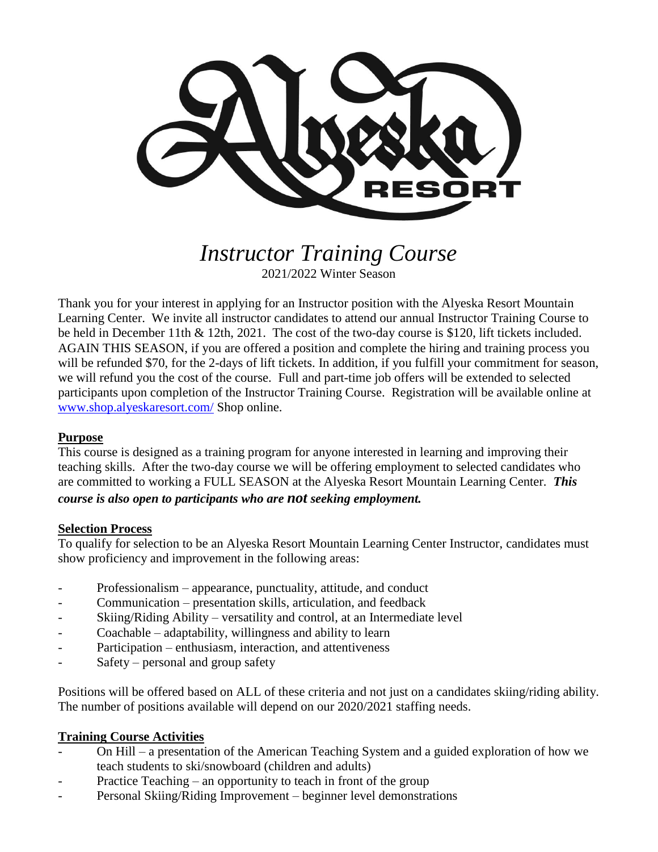

*Instructor Training Course* 2021/2022 Winter Season

Thank you for your interest in applying for an Instructor position with the Alyeska Resort Mountain Learning Center. We invite all instructor candidates to attend our annual Instructor Training Course to be held in December 11th & 12th, 2021. The cost of the two-day course is \$120, lift tickets included. AGAIN THIS SEASON, if you are offered a position and complete the hiring and training process you will be refunded \$70, for the 2-days of lift tickets. In addition, if you fulfill your commitment for season, we will refund you the cost of the course. Full and part-time job offers will be extended to selected participants upon completion of the Instructor Training Course. Registration will be available online at [www.shop.alyeskaresort.com/](http://www.shop.alyeskaresort.com/) Shop online.

## **Purpose**

This course is designed as a training program for anyone interested in learning and improving their teaching skills. After the two-day course we will be offering employment to selected candidates who are committed to working a FULL SEASON at the Alyeska Resort Mountain Learning Center. *This course is also open to participants who are not seeking employment.*

## **Selection Process**

To qualify for selection to be an Alyeska Resort Mountain Learning Center Instructor, candidates must show proficiency and improvement in the following areas:

- Professionalism appearance, punctuality, attitude, and conduct
- Communication presentation skills, articulation, and feedback
- Skiing/Riding Ability versatility and control, at an Intermediate level
- Coachable adaptability, willingness and ability to learn
- Participation enthusiasm, interaction, and attentiveness
- Safety personal and group safety

Positions will be offered based on ALL of these criteria and not just on a candidates skiing/riding ability. The number of positions available will depend on our 2020/2021 staffing needs.

## **Training Course Activities**

- On Hill a presentation of the American Teaching System and a guided exploration of how we teach students to ski/snowboard (children and adults)
- Practice Teaching an opportunity to teach in front of the group
- Personal Skiing/Riding Improvement beginner level demonstrations